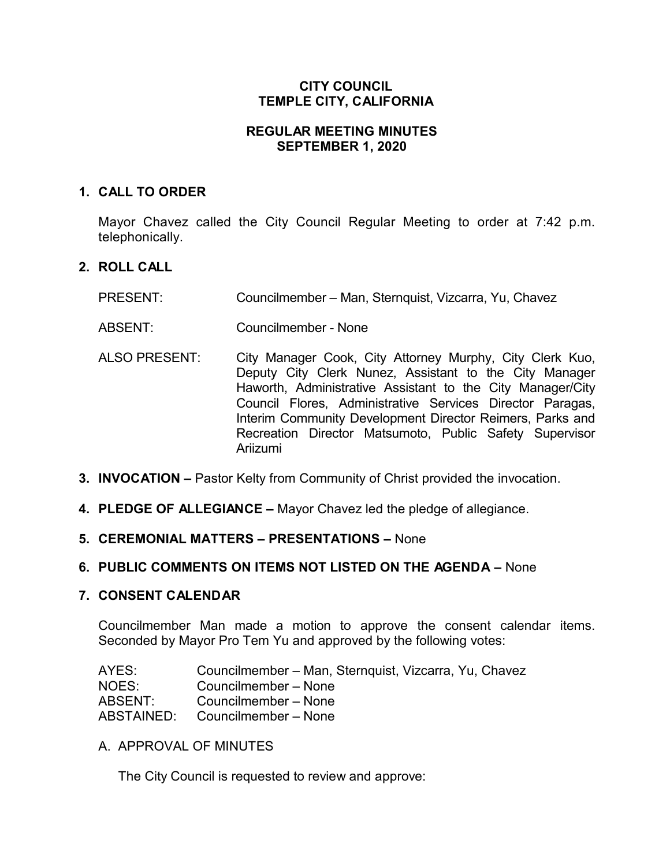# **CITY COUNCIL TEMPLE CITY, CALIFORNIA**

## **REGULAR MEETING MINUTES SEPTEMBER 1, 2020**

## **1. CALL TO ORDER**

Mayor Chavez called the City Council Regular Meeting to order at 7:42 p.m. telephonically.

# **2. ROLL CALL**

- PRESENT: Councilmember Man, Sternquist, Vizcarra, Yu, Chavez
- ABSENT: Councilmember None
- ALSO PRESENT: City Manager Cook, City Attorney Murphy, City Clerk Kuo, Deputy City Clerk Nunez, Assistant to the City Manager Haworth, Administrative Assistant to the City Manager/City Council Flores, Administrative Services Director Paragas, Interim Community Development Director Reimers, Parks and Recreation Director Matsumoto, Public Safety Supervisor Ariizumi
- **3. INVOCATION –** Pastor Kelty from Community of Christ provided the invocation.
- **4. PLEDGE OF ALLEGIANCE –** Mayor Chavez led the pledge of allegiance.
- **5. CEREMONIAL MATTERS – PRESENTATIONS –** None

## **6. PUBLIC COMMENTS ON ITEMS NOT LISTED ON THE AGENDA –** None

#### **7. CONSENT CALENDAR**

Councilmember Man made a motion to approve the consent calendar items. Seconded by Mayor Pro Tem Yu and approved by the following votes:

| AYES:      | Councilmember - Man, Sternquist, Vizcarra, Yu, Chavez |
|------------|-------------------------------------------------------|
| NOES:      | Councilmember – None                                  |
| ABSENT:    | Councilmember - None                                  |
| ABSTAINED: | Councilmember - None                                  |

A. APPROVAL OF MINUTES

The City Council is requested to review and approve: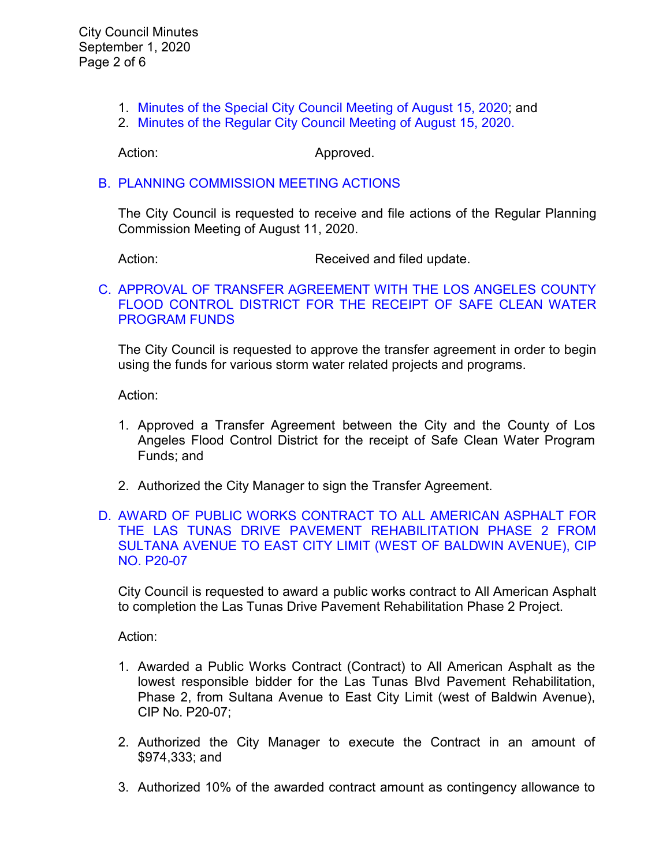- 1. Minutes of the Special [City Council Meeting of](https://ca-templecity.civicplus.com/DocumentCenter/View/14983/7A-1-Special-City-Council-Minutes-2020-08-18) August 15, 2020; and
- 2. [Minutes of the Regular City Council Meeting of August 15, 2020.](https://ca-templecity.civicplus.com/DocumentCenter/View/14984/7A-2-CCM---2020-08-18)

Action: Approved.

### B. PLANNING [COMMISSION MEETING ACTIONS](https://ca-templecity.civicplus.com/DocumentCenter/View/14985/7B-Planning-Commission-Actions-2020-08-11)

The City Council is requested to receive and file actions of the Regular Planning Commission Meeting of August 11, 2020.

Action: Received and filed update.

#### C. [APPROVAL OF TRANSFER AGREEMENT WITH THE LOS ANGELES COUNTY](https://ca-templecity.civicplus.com/DocumentCenter/View/14986/7C-Safe-Clean-Water-Program-Municipal-Program_Staff-Report-with-attachment)  [FLOOD CONTROL DISTRICT FOR THE RECEIPT OF SAFE CLEAN WATER](https://ca-templecity.civicplus.com/DocumentCenter/View/14986/7C-Safe-Clean-Water-Program-Municipal-Program_Staff-Report-with-attachment)  [PROGRAM FUNDS](https://ca-templecity.civicplus.com/DocumentCenter/View/14986/7C-Safe-Clean-Water-Program-Municipal-Program_Staff-Report-with-attachment)

The City Council is requested to approve the transfer agreement in order to begin using the funds for various storm water related projects and programs.

Action:

- 1. Approved a Transfer Agreement between the City and the County of Los Angeles Flood Control District for the receipt of Safe Clean Water Program Funds; and
- 2. Authorized the City Manager to sign the Transfer Agreement.

### D. [AWARD OF PUBLIC WORKS CONTRACT TO ALL AMERICAN ASPHALT FOR](https://ca-templecity.civicplus.com/DocumentCenter/View/14987/7D-Award-of-Contract-for-Las-Tunas-Drive-Pavement-Rehab-Phase-2_Staff-Report_V3-with-attachments)  [THE LAS TUNAS DRIVE PAVEMENT REHABILITATION PHASE 2 FROM](https://ca-templecity.civicplus.com/DocumentCenter/View/14987/7D-Award-of-Contract-for-Las-Tunas-Drive-Pavement-Rehab-Phase-2_Staff-Report_V3-with-attachments)  [SULTANA AVENUE TO EAST CITY LIMIT \(WEST OF BALDWIN AVENUE\), CIP](https://ca-templecity.civicplus.com/DocumentCenter/View/14987/7D-Award-of-Contract-for-Las-Tunas-Drive-Pavement-Rehab-Phase-2_Staff-Report_V3-with-attachments)  [NO. P20-07](https://ca-templecity.civicplus.com/DocumentCenter/View/14987/7D-Award-of-Contract-for-Las-Tunas-Drive-Pavement-Rehab-Phase-2_Staff-Report_V3-with-attachments)

City Council is requested to award a public works contract to All American Asphalt to completion the Las Tunas Drive Pavement Rehabilitation Phase 2 Project.

Action:

- 1. Awarded a Public Works Contract (Contract) to All American Asphalt as the lowest responsible bidder for the Las Tunas Blvd Pavement Rehabilitation, Phase 2, from Sultana Avenue to East City Limit (west of Baldwin Avenue), CIP No. P20-07;
- 2. Authorized the City Manager to execute the Contract in an amount of \$974,333; and
- 3. Authorized 10% of the awarded contract amount as contingency allowance to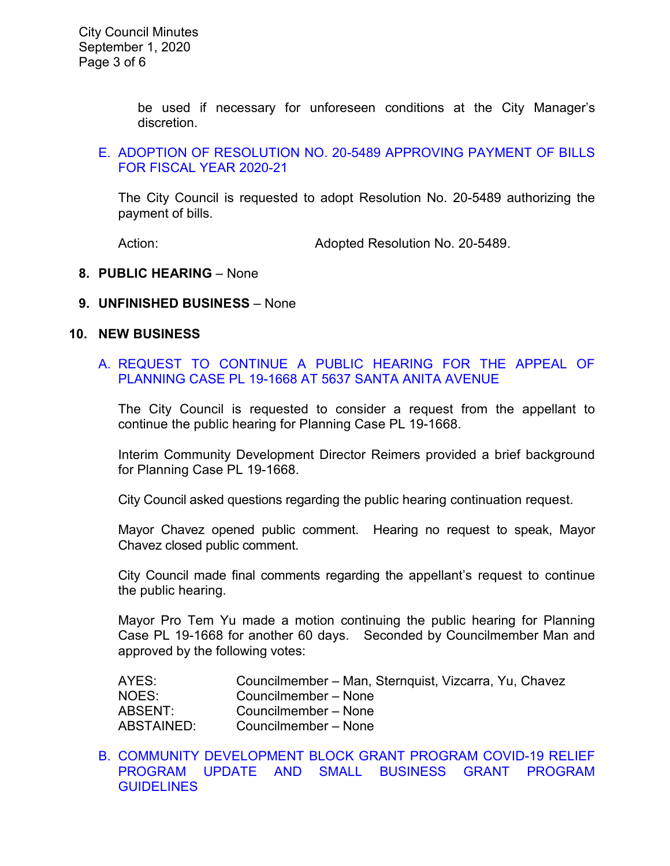be used if necessary for unforeseen conditions at the City Manager's discretion.

### E. [ADOPTION OF RESOLUTION NO. 20-5489](https://ca-templecity.civicplus.com/DocumentCenter/View/14988/7E-CC-Warrant) APPROVING PAYMENT OF BILLS [FOR FISCAL YEAR 2020-21](https://ca-templecity.civicplus.com/DocumentCenter/View/14988/7E-CC-Warrant)

The City Council is requested to adopt Resolution No. 20-5489 authorizing the payment of bills.

Action: **Adopted Resolution No. 20-5489.** 

#### **8. PUBLIC HEARING** – None

#### **9. UNFINISHED BUSINESS** – None

#### **10. NEW BUSINESS**

### A. [REQUEST TO CONTINUE A PUBLIC HEARING FOR THE APPEAL OF](https://ca-templecity.civicplus.com/DocumentCenter/View/15006/10A-Request-to-Continue-a-Public-Hearing-for-the-Appeal-of-Planning-Case-at-5637-Santa-Anita-Ave)  PLANNING [CASE PL 19-1668 AT 5637 SANTA ANITA AVENUE](https://ca-templecity.civicplus.com/DocumentCenter/View/15006/10A-Request-to-Continue-a-Public-Hearing-for-the-Appeal-of-Planning-Case-at-5637-Santa-Anita-Ave)

The City Council is requested to consider a request from the appellant to continue the public hearing for Planning Case PL 19-1668.

Interim Community Development Director Reimers provided a brief background for Planning Case PL 19-1668.

City Council asked questions regarding the public hearing continuation request.

Mayor Chavez opened public comment. Hearing no request to speak, Mayor Chavez closed public comment.

City Council made final comments regarding the appellant's request to continue the public hearing.

Mayor Pro Tem Yu made a motion continuing the public hearing for Planning Case PL 19-1668 for another 60 days. Seconded by Councilmember Man and approved by the following votes:

| AYES:      | Councilmember – Man, Sternquist, Vizcarra, Yu, Chavez |
|------------|-------------------------------------------------------|
| NOES:      | Councilmember - None                                  |
| ABSENT:    | Councilmember - None                                  |
| ABSTAINED: | Councilmember - None                                  |

B. [COMMUNITY DEVELOPMENT BLOCK GRANT PROGRAM COVID-19 RELIEF](https://ca-templecity.civicplus.com/DocumentCenter/View/15007/10B-CDBG-COVID-19-Programs_Staff-Report_CM-edits)  [PROGRAM UPDATE AND SMALL BUSINESS GRANT PROGRAM](https://ca-templecity.civicplus.com/DocumentCenter/View/15007/10B-CDBG-COVID-19-Programs_Staff-Report_CM-edits)  **[GUIDELINES](https://ca-templecity.civicplus.com/DocumentCenter/View/15007/10B-CDBG-COVID-19-Programs_Staff-Report_CM-edits)**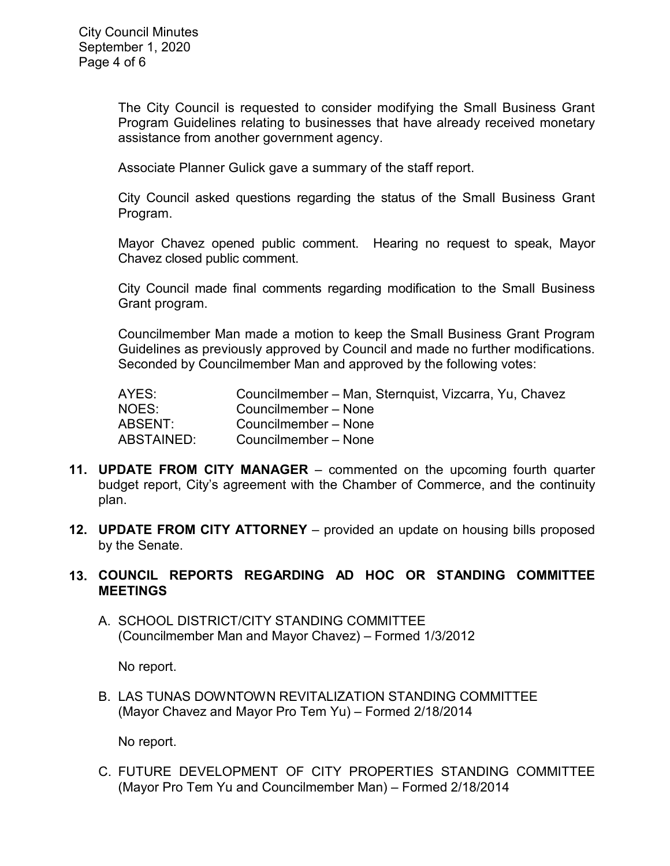The City Council is requested to consider modifying the Small Business Grant Program Guidelines relating to businesses that have already received monetary assistance from another government agency.

Associate Planner Gulick gave a summary of the staff report.

City Council asked questions regarding the status of the Small Business Grant Program.

Mayor Chavez opened public comment. Hearing no request to speak, Mayor Chavez closed public comment.

City Council made final comments regarding modification to the Small Business Grant program.

Councilmember Man made a motion to keep the Small Business Grant Program Guidelines as previously approved by Council and made no further modifications. Seconded by Councilmember Man and approved by the following votes:

AYES: Councilmember – Man, Sternquist, Vizcarra, Yu, Chavez NOES: Councilmember – None ABSENT: Councilmember – None ABSTAINED: Councilmember – None

- **11. UPDATE FROM CITY MANAGER** commented on the upcoming fourth quarter budget report, City's agreement with the Chamber of Commerce, and the continuity plan.
- **12. UPDATE FROM CITY ATTORNEY** provided an update on housing bills proposed by the Senate.

## **13. COUNCIL REPORTS REGARDING AD HOC OR STANDING COMMITTEE MEETINGS**

A. SCHOOL DISTRICT/CITY STANDING COMMITTEE (Councilmember Man and Mayor Chavez) – Formed 1/3/2012

No report.

B. LAS TUNAS DOWNTOWN REVITALIZATION STANDING COMMITTEE (Mayor Chavez and Mayor Pro Tem Yu) – Formed 2/18/2014

No report.

C. FUTURE DEVELOPMENT OF CITY PROPERTIES STANDING COMMITTEE (Mayor Pro Tem Yu and Councilmember Man) – Formed 2/18/2014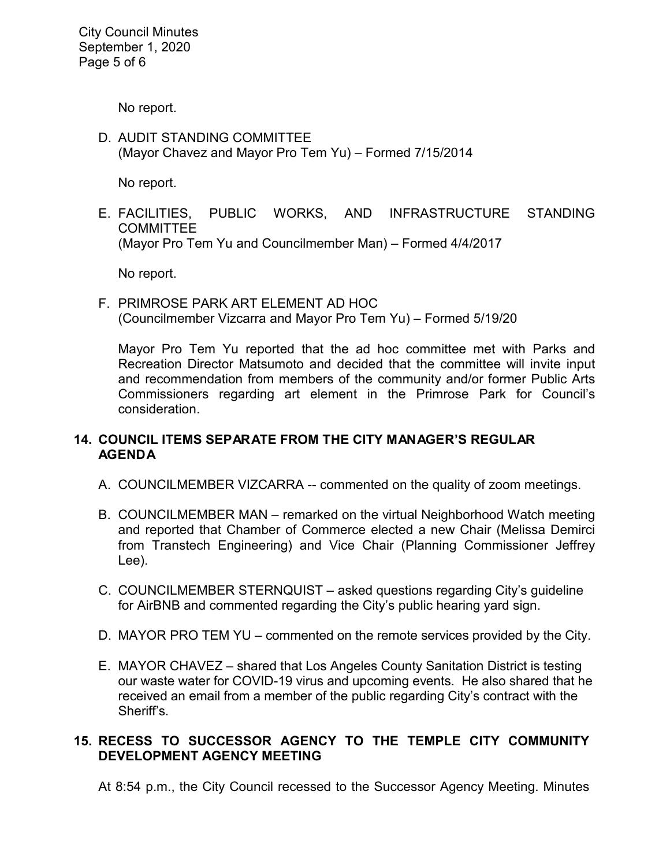City Council Minutes September 1, 2020 Page 5 of 6

No report.

D. AUDIT STANDING COMMITTEE (Mayor Chavez and Mayor Pro Tem Yu) – Formed 7/15/2014

No report.

E. FACILITIES, PUBLIC WORKS, AND INFRASTRUCTURE STANDING **COMMITTEE** (Mayor Pro Tem Yu and Councilmember Man) – Formed 4/4/2017

No report.

F. PRIMROSE PARK ART ELEMENT AD HOC (Councilmember Vizcarra and Mayor Pro Tem Yu) – Formed 5/19/20

Mayor Pro Tem Yu reported that the ad hoc committee met with Parks and Recreation Director Matsumoto and decided that the committee will invite input and recommendation from members of the community and/or former Public Arts Commissioners regarding art element in the Primrose Park for Council's consideration.

## **14. COUNCIL ITEMS SEPARATE FROM THE CITY MANAGER'S REGULAR AGENDA**

- A. COUNCILMEMBER VIZCARRA -- commented on the quality of zoom meetings.
- B. COUNCILMEMBER MAN remarked on the virtual Neighborhood Watch meeting and reported that Chamber of Commerce elected a new Chair (Melissa Demirci from Transtech Engineering) and Vice Chair (Planning Commissioner Jeffrey Lee).
- C. COUNCILMEMBER STERNQUIST asked questions regarding City's guideline for AirBNB and commented regarding the City's public hearing yard sign.
- D. MAYOR PRO TEM YU commented on the remote services provided by the City.
- E. MAYOR CHAVEZ shared that Los Angeles County Sanitation District is testing our waste water for COVID-19 virus and upcoming events. He also shared that he received an email from a member of the public regarding City's contract with the Sheriff's.

# **15. RECESS TO SUCCESSOR AGENCY TO THE TEMPLE CITY COMMUNITY DEVELOPMENT AGENCY MEETING**

At 8:54 p.m., the City Council recessed to the Successor Agency Meeting. Minutes